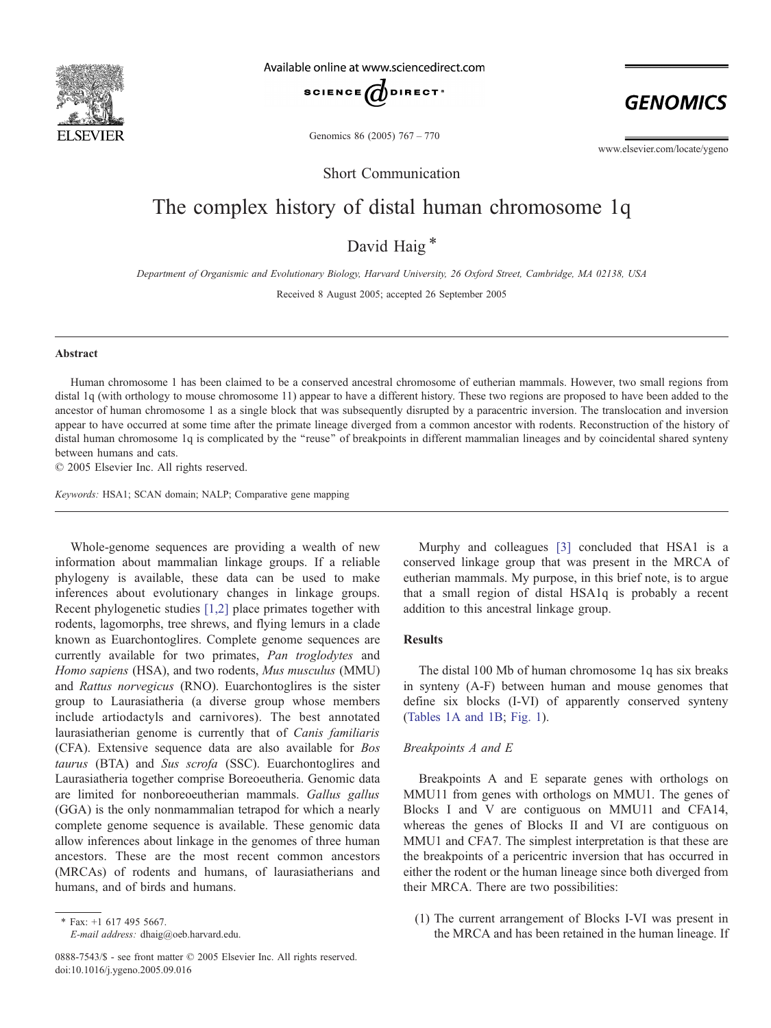

Available online at www.sciencedirect.com



Genomics 86 (2005) 767 – 770

www.elsevier.com/locate/ygeno

**GENOMICS** 

Short Communication

# The complex history of distal human chromosome 1q

David Haig \*

Department of Organismic and Evolutionary Biology, Harvard University, 26 Oxford Street, Cambridge, MA 02138, USA

Received 8 August 2005; accepted 26 September 2005

#### Abstract

Human chromosome 1 has been claimed to be a conserved ancestral chromosome of eutherian mammals. However, two small regions from distal 1q (with orthology to mouse chromosome 11) appear to have a different history. These two regions are proposed to have been added to the ancestor of human chromosome 1 as a single block that was subsequently disrupted by a paracentric inversion. The translocation and inversion appear to have occurred at some time after the primate lineage diverged from a common ancestor with rodents. Reconstruction of the history of distal human chromosome 1q is complicated by the ''reuse'' of breakpoints in different mammalian lineages and by coincidental shared synteny between humans and cats.

 $© 2005 Elsevier Inc. All rights reserved.$ 

Keywords: HSA1; SCAN domain; NALP; Comparative gene mapping

Whole-genome sequences are providing a wealth of new information about mammalian linkage groups. If a reliable phylogeny is available, these data can be used to make inferences about evolutionary changes in linkage groups. Recent phylogenetic studies [\[1,2\]](#page-3-0) place primates together with rodents, lagomorphs, tree shrews, and flying lemurs in a clade known as Euarchontoglires. Complete genome sequences are currently available for two primates, Pan troglodytes and Homo sapiens (HSA), and two rodents, Mus musculus (MMU) and Rattus norvegicus (RNO). Euarchontoglires is the sister group to Laurasiatheria (a diverse group whose members include artiodactyls and carnivores). The best annotated laurasiatherian genome is currently that of Canis familiaris (CFA). Extensive sequence data are also available for Bos taurus (BTA) and Sus scrofa (SSC). Euarchontoglires and Laurasiatheria together comprise Boreoeutheria. Genomic data are limited for nonboreoeutherian mammals. Gallus gallus (GGA) is the only nonmammalian tetrapod for which a nearly complete genome sequence is available. These genomic data allow inferences about linkage in the genomes of three human ancestors. These are the most recent common ancestors (MRCAs) of rodents and humans, of laurasiatherians and humans, and of birds and humans.

Murphy and colleagues [\[3](#page-3-0)] concluded that HSA1 is a conserved linkage group that was present in the MRCA of eutherian mammals. My purpose, in this brief note, is to argue that a small region of distal HSA1q is probably a recent addition to this ancestral linkage group.

## Results

The distal 100 Mb of human chromosome 1q has six breaks in synteny (A-F) between human and mouse genomes that define six blocks (I-VI) of apparently conserved synteny [\(Tables 1A and 1B](#page-1-0); [Fig. 1](#page-1-0)).

## Breakpoints A and E

Breakpoints A and E separate genes with orthologs on MMU11 from genes with orthologs on MMU1. The genes of Blocks I and V are contiguous on MMU11 and CFA14, whereas the genes of Blocks II and VI are contiguous on MMU1 and CFA7. The simplest interpretation is that these are the breakpoints of a pericentric inversion that has occurred in either the rodent or the human lineage since both diverged from their MRCA. There are two possibilities:

(1) The current arrangement of Blocks I-VI was present in the MRCA and has been retained in the human lineage. If

<sup>\*</sup> Fax: +1 617 495 5667. E-mail address: dhaig@oeb.harvard.edu.

<sup>0888-7543/\$ -</sup> see front matter © 2005 Elsevier Inc. All rights reserved. doi:10.1016/j.ygeno.2005.09.016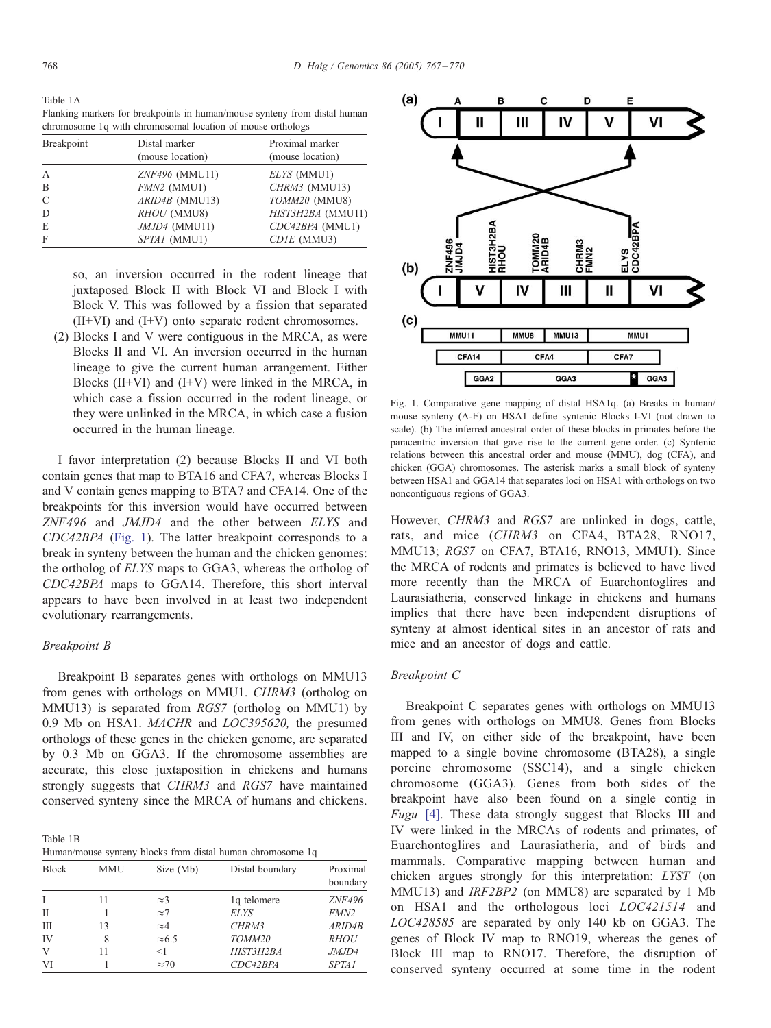<span id="page-1-0"></span>Table 1A Flanking markers for breakpoints in human/mouse synteny from distal human chromosome 1q with chromosomal location of mouse orthologs

| Breakpoint | Distal marker<br>(mouse location) | Proximal marker<br>(mouse location) |  |
|------------|-----------------------------------|-------------------------------------|--|
| A          | <i>ZNF496</i> (MMU11)             | ELYS (MMU1)                         |  |
| B          | $FMN2$ (MMU1)                     | CHRM3 (MMU13)                       |  |
| C          | $ARID4B$ (MMU13)                  | TOMM20 (MMU8)                       |  |
| D          | RHOU (MMU8)                       | HIST3H2BA (MMU11)                   |  |
| E          | JMJD4 (MMU11)                     | CDC42BPA (MMU1)                     |  |
| F          | SPTA1 (MMU1)                      | $CDIE$ (MMU3)                       |  |

so, an inversion occurred in the rodent lineage that juxtaposed Block II with Block VI and Block I with Block V. This was followed by a fission that separated (II+VI) and (I+V) onto separate rodent chromosomes.

(2) Blocks I and V were contiguous in the MRCA, as were Blocks II and VI. An inversion occurred in the human lineage to give the current human arrangement. Either Blocks  $(II+VI)$  and  $(I+V)$  were linked in the MRCA, in which case a fission occurred in the rodent lineage, or they were unlinked in the MRCA, in which case a fusion occurred in the human lineage.

I favor interpretation (2) because Blocks II and VI both contain genes that map to BTA16 and CFA7, whereas Blocks I and V contain genes mapping to BTA7 and CFA14. One of the breakpoints for this inversion would have occurred between ZNF496 and JMJD4 and the other between ELYS and CDC42BPA (Fig. 1). The latter breakpoint corresponds to a break in synteny between the human and the chicken genomes: the ortholog of ELYS maps to GGA3, whereas the ortholog of CDC42BPA maps to GGA14. Therefore, this short interval appears to have been involved in at least two independent evolutionary rearrangements.

## Breakpoint B

Breakpoint B separates genes with orthologs on MMU13 from genes with orthologs on MMU1. CHRM3 (ortholog on MMU13) is separated from RGS7 (ortholog on MMU1) by 0.9 Mb on HSA1. MACHR and LOC395620, the presumed orthologs of these genes in the chicken genome, are separated by 0.3 Mb on GGA3. If the chromosome assemblies are accurate, this close juxtaposition in chickens and humans strongly suggests that CHRM3 and RGS7 have maintained conserved synteny since the MRCA of humans and chickens.

Table 1B Human/mouse synteny blocks from distal human chromosome 1q

| <b>Block</b> | <b>MMU</b> | Size (Mb)     | Distal boundary | Proximal<br>boundary |  |
|--------------|------------|---------------|-----------------|----------------------|--|
| T            | 11         | $\approx$ 3   | 1q telomere     | <b>ZNF496</b>        |  |
| П            |            | $\approx$ 7   | <b>ELYS</b>     | FMN <sub>2</sub>     |  |
| Ш            | 13         | $\approx 4$   | CHRM3           | ARID4B               |  |
| IV           | 8          | $\approx 6.5$ | TOMM20          | <b>RHOU</b>          |  |
| V            | 11         | <1            | HIST3H2BA       | JMJD4                |  |
| VI           |            | $\approx 70$  | CDC42BPA        | <b>SPTA1</b>         |  |



Fig. 1. Comparative gene mapping of distal HSA1q. (a) Breaks in human/ mouse synteny (A-E) on HSA1 define syntenic Blocks I-VI (not drawn to scale). (b) The inferred ancestral order of these blocks in primates before the paracentric inversion that gave rise to the current gene order. (c) Syntenic relations between this ancestral order and mouse (MMU), dog (CFA), and chicken (GGA) chromosomes. The asterisk marks a small block of synteny between HSA1 and GGA14 that separates loci on HSA1 with orthologs on two noncontiguous regions of GGA3.

However, CHRM3 and RGS7 are unlinked in dogs, cattle, rats, and mice (CHRM3 on CFA4, BTA28, RNO17, MMU13; RGS7 on CFA7, BTA16, RNO13, MMU1). Since the MRCA of rodents and primates is believed to have lived more recently than the MRCA of Euarchontoglires and Laurasiatheria, conserved linkage in chickens and humans implies that there have been independent disruptions of synteny at almost identical sites in an ancestor of rats and mice and an ancestor of dogs and cattle.

## Breakpoint C

Breakpoint C separates genes with orthologs on MMU13 from genes with orthologs on MMU8. Genes from Blocks III and IV, on either side of the breakpoint, have been mapped to a single bovine chromosome (BTA28), a single porcine chromosome (SSC14), and a single chicken chromosome (GGA3). Genes from both sides of the breakpoint have also been found on a single contig in Fugu [\[4\].](#page-3-0) These data strongly suggest that Blocks III and IV were linked in the MRCAs of rodents and primates, of Euarchontoglires and Laurasiatheria, and of birds and mammals. Comparative mapping between human and chicken argues strongly for this interpretation: LYST (on MMU13) and IRF2BP2 (on MMU8) are separated by 1 Mb on HSA1 and the orthologous loci LOC421514 and LOC428585 are separated by only 140 kb on GGA3. The genes of Block IV map to RNO19, whereas the genes of Block III map to RNO17. Therefore, the disruption of conserved synteny occurred at some time in the rodent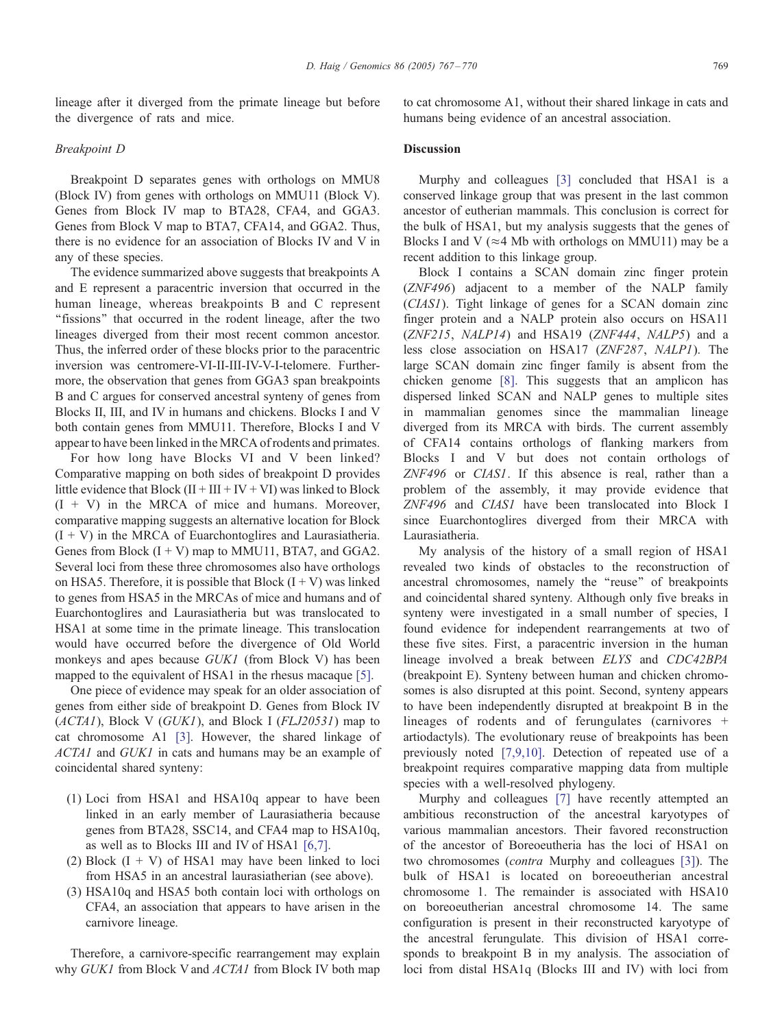lineage after it diverged from the primate lineage but before the divergence of rats and mice.

### Breakpoint D

Breakpoint D separates genes with orthologs on MMU8 (Block IV) from genes with orthologs on MMU11 (Block V). Genes from Block IV map to BTA28, CFA4, and GGA3. Genes from Block V map to BTA7, CFA14, and GGA2. Thus, there is no evidence for an association of Blocks IV and V in any of these species.

The evidence summarized above suggests that breakpoints A and E represent a paracentric inversion that occurred in the human lineage, whereas breakpoints B and C represent ''fissions'' that occurred in the rodent lineage, after the two lineages diverged from their most recent common ancestor. Thus, the inferred order of these blocks prior to the paracentric inversion was centromere-VI-II-III-IV-V-I-telomere. Furthermore, the observation that genes from GGA3 span breakpoints B and C argues for conserved ancestral synteny of genes from Blocks II, III, and IV in humans and chickens. Blocks I and V both contain genes from MMU11. Therefore, Blocks I and V appear to have been linked in the MRCA of rodents and primates.

For how long have Blocks VI and V been linked? Comparative mapping on both sides of breakpoint D provides little evidence that Block  $(II + III + IV + VI)$  was linked to Block  $(I + V)$  in the MRCA of mice and humans. Moreover, comparative mapping suggests an alternative location for Block  $(I + V)$  in the MRCA of Euarchontoglires and Laurasiatheria. Genes from Block  $(I + V)$  map to MMU11, BTA7, and GGA2. Several loci from these three chromosomes also have orthologs on HSA5. Therefore, it is possible that Block  $(I + V)$  was linked to genes from HSA5 in the MRCAs of mice and humans and of Euarchontoglires and Laurasiatheria but was translocated to HSA1 at some time in the primate lineage. This translocation would have occurred before the divergence of Old World monkeys and apes because GUK1 (from Block V) has been mapped to the equivalent of HSA1 in the rhesus macaque [\[5\].](#page-3-0)

One piece of evidence may speak for an older association of genes from either side of breakpoint D. Genes from Block IV  $(ACTAI)$ , Block V  $(GUKI)$ , and Block I  $(FLJ20531)$  map to cat chromosome A1 [\[3\].](#page-3-0) However, the shared linkage of ACTA1 and GUK1 in cats and humans may be an example of coincidental shared synteny:

- (1) Loci from HSA1 and HSA10q appear to have been linked in an early member of Laurasiatheria because genes from BTA28, SSC14, and CFA4 map to HSA10q, as well as to Blocks III and IV of HSA1 [\[6,7\].](#page-3-0)
- (2) Block  $(I + V)$  of HSA1 may have been linked to loci from HSA5 in an ancestral laurasiatherian (see above).
- (3) HSA10q and HSA5 both contain loci with orthologs on CFA4, an association that appears to have arisen in the carnivore lineage.

Therefore, a carnivore-specific rearrangement may explain why GUK1 from Block V and ACTA1 from Block IV both map to cat chromosome A1, without their shared linkage in cats and humans being evidence of an ancestral association.

## **Discussion**

Murphy and colleagues [\[3\]](#page-3-0) concluded that HSA1 is a conserved linkage group that was present in the last common ancestor of eutherian mammals. This conclusion is correct for the bulk of HSA1, but my analysis suggests that the genes of Blocks I and V ( $\approx$  4 Mb with orthologs on MMU11) may be a recent addition to this linkage group.

Block I contains a SCAN domain zinc finger protein (ZNF496) adjacent to a member of the NALP family (CIAS1). Tight linkage of genes for a SCAN domain zinc finger protein and a NALP protein also occurs on HSA11 (ZNF215, NALP14) and HSA19 (ZNF444, NALP5) and a less close association on HSA17 (ZNF287, NALP1). The large SCAN domain zinc finger family is absent from the chicken genome [\[8\].](#page-3-0) This suggests that an amplicon has dispersed linked SCAN and NALP genes to multiple sites in mammalian genomes since the mammalian lineage diverged from its MRCA with birds. The current assembly of CFA14 contains orthologs of flanking markers from Blocks I and V but does not contain orthologs of ZNF496 or CIAS1. If this absence is real, rather than a problem of the assembly, it may provide evidence that ZNF496 and CIAS1 have been translocated into Block I since Euarchontoglires diverged from their MRCA with Laurasiatheria.

My analysis of the history of a small region of HSA1 revealed two kinds of obstacles to the reconstruction of ancestral chromosomes, namely the ''reuse'' of breakpoints and coincidental shared synteny. Although only five breaks in synteny were investigated in a small number of species, I found evidence for independent rearrangements at two of these five sites. First, a paracentric inversion in the human lineage involved a break between ELYS and CDC42BPA (breakpoint E). Synteny between human and chicken chromosomes is also disrupted at this point. Second, synteny appears to have been independently disrupted at breakpoint B in the lineages of rodents and of ferungulates (carnivores + artiodactyls). The evolutionary reuse of breakpoints has been previously noted [\[7,9,10](#page-3-0)]. Detection of repeated use of a breakpoint requires comparative mapping data from multiple species with a well-resolved phylogeny.

Murphy and colleagues [\[7](#page-3-0)] have recently attempted an ambitious reconstruction of the ancestral karyotypes of various mammalian ancestors. Their favored reconstruction of the ancestor of Boreoeutheria has the loci of HSA1 on two chromosomes (contra Murphy and colleagues [\[3](#page-3-0)]). The bulk of HSA1 is located on boreoeutherian ancestral chromosome 1. The remainder is associated with HSA10 on boreoeutherian ancestral chromosome 14. The same configuration is present in their reconstructed karyotype of the ancestral ferungulate. This division of HSA1 corresponds to breakpoint B in my analysis. The association of loci from distal HSA1q (Blocks III and IV) with loci from